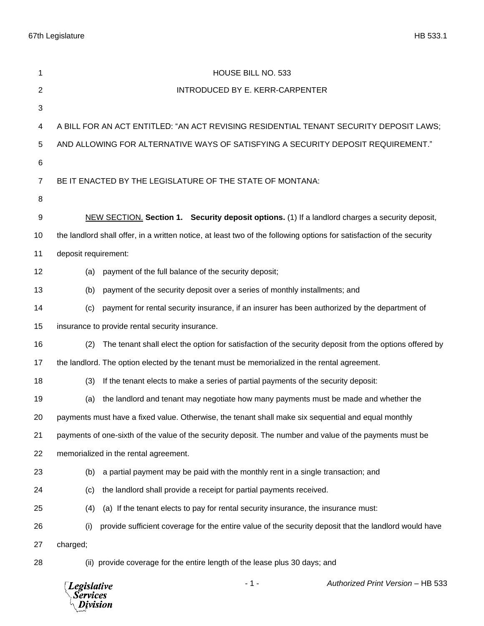| 1              | HOUSE BILL NO. 533                                                                                                    |
|----------------|-----------------------------------------------------------------------------------------------------------------------|
| $\overline{2}$ | INTRODUCED BY E. KERR-CARPENTER                                                                                       |
| 3              |                                                                                                                       |
| 4              | A BILL FOR AN ACT ENTITLED: "AN ACT REVISING RESIDENTIAL TENANT SECURITY DEPOSIT LAWS;                                |
| 5              | AND ALLOWING FOR ALTERNATIVE WAYS OF SATISFYING A SECURITY DEPOSIT REQUIREMENT."                                      |
| 6              |                                                                                                                       |
| 7              | BE IT ENACTED BY THE LEGISLATURE OF THE STATE OF MONTANA:                                                             |
| 8              |                                                                                                                       |
| 9              | NEW SECTION. Section 1. Security deposit options. (1) If a landlord charges a security deposit,                       |
| 10             | the landlord shall offer, in a written notice, at least two of the following options for satisfaction of the security |
| 11             | deposit requirement:                                                                                                  |
| 12             | payment of the full balance of the security deposit;<br>(a)                                                           |
| 13             | payment of the security deposit over a series of monthly installments; and<br>(b)                                     |
| 14             | payment for rental security insurance, if an insurer has been authorized by the department of<br>(c)                  |
| 15             | insurance to provide rental security insurance.                                                                       |
| 16             | The tenant shall elect the option for satisfaction of the security deposit from the options offered by<br>(2)         |
| 17             | the landlord. The option elected by the tenant must be memorialized in the rental agreement.                          |
| 18             | If the tenant elects to make a series of partial payments of the security deposit:<br>(3)                             |
| 19             | the landlord and tenant may negotiate how many payments must be made and whether the<br>(a)                           |
| 20             | payments must have a fixed value. Otherwise, the tenant shall make six sequential and equal monthly                   |
| 21             | payments of one-sixth of the value of the security deposit. The number and value of the payments must be              |
| 22             | memorialized in the rental agreement.                                                                                 |
| 23             | a partial payment may be paid with the monthly rent in a single transaction; and<br>(b)                               |
| 24             | the landlord shall provide a receipt for partial payments received.<br>(c)                                            |
| 25             | (a) If the tenant elects to pay for rental security insurance, the insurance must:<br>(4)                             |
| 26             | provide sufficient coverage for the entire value of the security deposit that the landlord would have<br>(i)          |
| 27             | charged;                                                                                                              |
| 28             | (ii) provide coverage for the entire length of the lease plus 30 days; and                                            |
|                |                                                                                                                       |